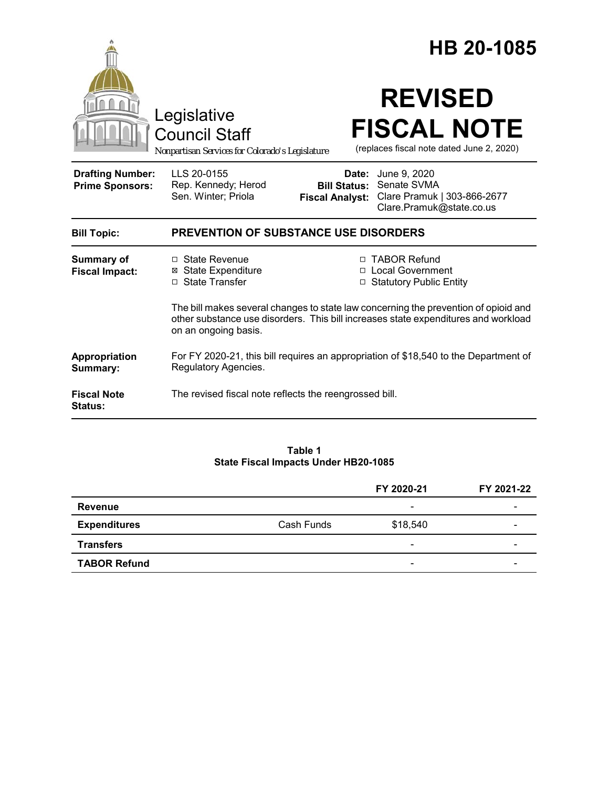|                                                   | Legislative<br><b>Council Staff</b><br>Nonpartisan Services for Colorado's Legislature                                                                                                            |                                                        | HB 20-1085<br><b>REVISED</b><br><b>FISCAL NOTE</b><br>(replaces fiscal note dated June 2, 2020) |  |
|---------------------------------------------------|---------------------------------------------------------------------------------------------------------------------------------------------------------------------------------------------------|--------------------------------------------------------|-------------------------------------------------------------------------------------------------|--|
| <b>Drafting Number:</b><br><b>Prime Sponsors:</b> | LLS 20-0155<br>Rep. Kennedy; Herod<br>Sen. Winter; Priola                                                                                                                                         | Date:<br><b>Bill Status:</b><br><b>Fiscal Analyst:</b> | June 9, 2020<br>Senate SVMA<br>Clare Pramuk   303-866-2677<br>Clare.Pramuk@state.co.us          |  |
| <b>Bill Topic:</b>                                | <b>PREVENTION OF SUBSTANCE USE DISORDERS</b>                                                                                                                                                      |                                                        |                                                                                                 |  |
| <b>Summary of</b><br><b>Fiscal Impact:</b>        | □ State Revenue<br><b>⊠</b> State Expenditure<br>□ State Transfer                                                                                                                                 |                                                        | □ TABOR Refund<br>□ Local Government<br>□ Statutory Public Entity                               |  |
|                                                   | The bill makes several changes to state law concerning the prevention of opioid and<br>other substance use disorders. This bill increases state expenditures and workload<br>on an ongoing basis. |                                                        |                                                                                                 |  |
| Appropriation<br>Summary:                         | For FY 2020-21, this bill requires an appropriation of \$18,540 to the Department of<br>Regulatory Agencies.                                                                                      |                                                        |                                                                                                 |  |
| <b>Fiscal Note</b><br><b>Status:</b>              | The revised fiscal note reflects the reengrossed bill.                                                                                                                                            |                                                        |                                                                                                 |  |

### **Table 1 State Fiscal Impacts Under HB20-1085**

|                     |            | FY 2020-21               | FY 2021-22 |
|---------------------|------------|--------------------------|------------|
| <b>Revenue</b>      |            | $\overline{\phantom{0}}$ | -          |
| <b>Expenditures</b> | Cash Funds | \$18,540                 |            |
| <b>Transfers</b>    |            | $\overline{\phantom{a}}$ |            |
| <b>TABOR Refund</b> |            | $\overline{\phantom{0}}$ |            |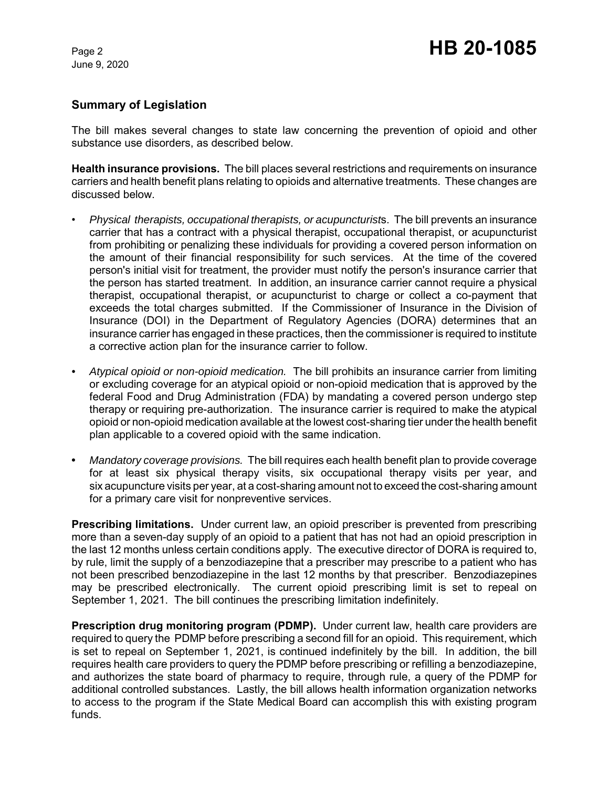June 9, 2020

## **Summary of Legislation**

The bill makes several changes to state law concerning the prevention of opioid and other substance use disorders, as described below.

**Health insurance provisions.** The bill places several restrictions and requirements on insurance carriers and health benefit plans relating to opioids and alternative treatments. These changes are discussed below.

- *Physical therapists, occupational therapists, or acupuncturist*s. The bill prevents an insurance carrier that has a contract with a physical therapist, occupational therapist, or acupuncturist from prohibiting or penalizing these individuals for providing a covered person information on the amount of their financial responsibility for such services. At the time of the covered person's initial visit for treatment, the provider must notify the person's insurance carrier that the person has started treatment. In addition, an insurance carrier cannot require a physical therapist, occupational therapist, or acupuncturist to charge or collect a co-payment that exceeds the total charges submitted. If the Commissioner of Insurance in the Division of Insurance (DOI) in the Department of Regulatory Agencies (DORA) determines that an insurance carrier has engaged in these practices, then the commissioner is required to institute a corrective action plan for the insurance carrier to follow.
- *Atypical opioid or non-opioid medication.* The bill prohibits an insurance carrier from limiting or excluding coverage for an atypical opioid or non-opioid medication that is approved by the federal Food and Drug Administration (FDA) by mandating a covered person undergo step therapy or requiring pre-authorization. The insurance carrier is required to make the atypical opioid or non-opioid medication available at the lowest cost-sharing tier under the health benefit plan applicable to a covered opioid with the same indication.
- **•** *Mandatory coverage provisions.* The bill requires each health benefit plan to provide coverage for at least six physical therapy visits, six occupational therapy visits per year, and six acupuncture visits per year, at a cost-sharing amount not to exceed the cost-sharing amount for a primary care visit for nonpreventive services.

**Prescribing limitations.** Under current law, an opioid prescriber is prevented from prescribing more than a seven-day supply of an opioid to a patient that has not had an opioid prescription in the last 12 months unless certain conditions apply. The executive director of DORA is required to, by rule, limit the supply of a benzodiazepine that a prescriber may prescribe to a patient who has not been prescribed benzodiazepine in the last 12 months by that prescriber. Benzodiazepines may be prescribed electronically. The current opioid prescribing limit is set to repeal on September 1, 2021. The bill continues the prescribing limitation indefinitely.

**Prescription drug monitoring program (PDMP).** Under current law, health care providers are required to query the PDMP before prescribing a second fill for an opioid. This requirement, which is set to repeal on September 1, 2021, is continued indefinitely by the bill. In addition, the bill requires health care providers to query the PDMP before prescribing or refilling a benzodiazepine, and authorizes the state board of pharmacy to require, through rule, a query of the PDMP for additional controlled substances. Lastly, the bill allows health information organization networks to access to the program if the State Medical Board can accomplish this with existing program funds.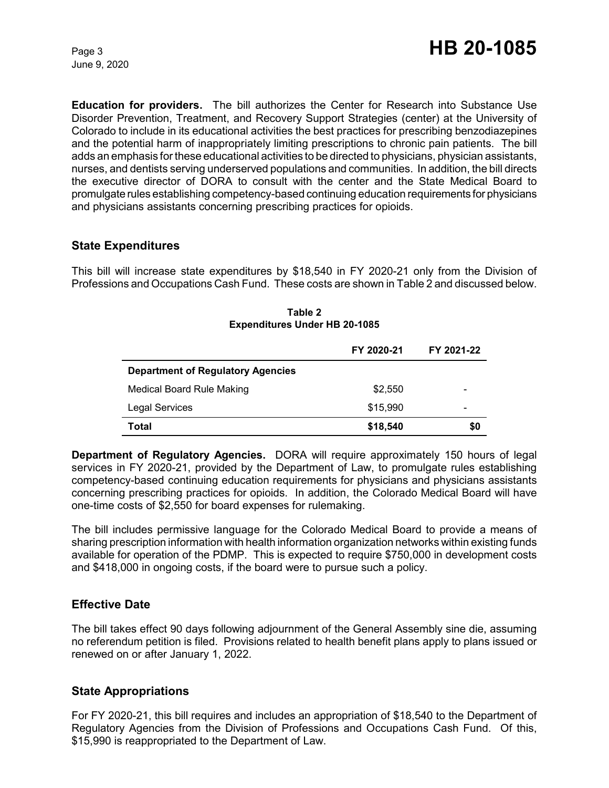June 9, 2020

**Education for providers.** The bill authorizes the Center for Research into Substance Use Disorder Prevention, Treatment, and Recovery Support Strategies (center) at the University of Colorado to include in its educational activities the best practices for prescribing benzodiazepines and the potential harm of inappropriately limiting prescriptions to chronic pain patients. The bill adds an emphasis for these educational activities to be directed to physicians, physician assistants, nurses, and dentists serving underserved populations and communities. In addition, the bill directs the executive director of DORA to consult with the center and the State Medical Board to promulgate rules establishing competency-based continuing education requirements for physicians and physicians assistants concerning prescribing practices for opioids.

## **State Expenditures**

This bill will increase state expenditures by \$18,540 in FY 2020-21 only from the Division of Professions and Occupations Cash Fund. These costs are shown in Table 2 and discussed below.

|                                          | FY 2020-21 | FY 2021-22 |
|------------------------------------------|------------|------------|
| <b>Department of Regulatory Agencies</b> |            |            |
| Medical Board Rule Making                | \$2,550    | -          |
| <b>Legal Services</b>                    | \$15,990   | -          |
| Total                                    | \$18,540   | \$0        |

**Table 2 Expenditures Under HB 20-1085**

**Department of Regulatory Agencies.** DORA will require approximately 150 hours of legal services in FY 2020-21, provided by the Department of Law, to promulgate rules establishing competency-based continuing education requirements for physicians and physicians assistants concerning prescribing practices for opioids. In addition, the Colorado Medical Board will have one-time costs of \$2,550 for board expenses for rulemaking.

The bill includes permissive language for the Colorado Medical Board to provide a means of sharing prescription information with health information organization networks within existing funds available for operation of the PDMP. This is expected to require \$750,000 in development costs and \$418,000 in ongoing costs, if the board were to pursue such a policy.

# **Effective Date**

The bill takes effect 90 days following adjournment of the General Assembly sine die, assuming no referendum petition is filed. Provisions related to health benefit plans apply to plans issued or renewed on or after January 1, 2022.

### **State Appropriations**

For FY 2020-21, this bill requires and includes an appropriation of \$18,540 to the Department of Regulatory Agencies from the Division of Professions and Occupations Cash Fund. Of this, \$15,990 is reappropriated to the Department of Law.